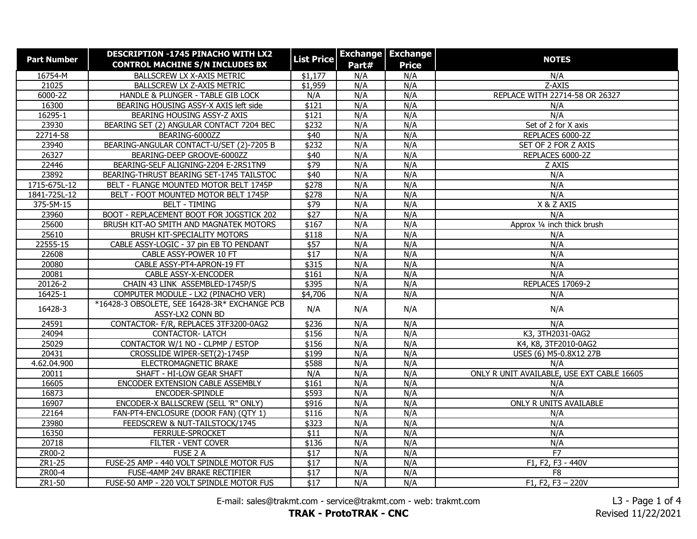| <b>Part Number</b> | <b>DESCRIPTION -1745 PINACHO WITH LX2</b>     | <b>List Price</b> |       | <b>Exchange   Exchange</b> | <b>NOTES</b>                               |
|--------------------|-----------------------------------------------|-------------------|-------|----------------------------|--------------------------------------------|
|                    | <b>CONTROL MACHINE S/N INCLUDES BX</b>        |                   | Part# | <b>Price</b>               |                                            |
| 16754-M            | BALLSCREW LX X-AXIS METRIC                    | \$1,177           | N/A   | N/A                        | N/A                                        |
| 21025              | BALLSCREW LX Z-AXIS METRIC                    | \$1,959           | N/A   | N/A                        | Z-AXIS                                     |
| 6000-2Z            | HANDLE & PLUNGER - TABLE GIB LOCK             | N/A               | N/A   | N/A                        | REPLACE WITH 22714-58 OR 26327             |
| 16300              | BEARING HOUSING ASSY-X AXIS left side         | \$121             | N/A   | N/A                        | N/A                                        |
| 16295-1            | BEARING HOUSING ASSY-Z AXIS                   | \$121             | N/A   | N/A                        | N/A                                        |
| 23930              | BEARING SET (2) ANGULAR CONTACT 7204 BEC      | \$232             | N/A   | N/A                        | Set of 2 for X axis                        |
| 22714-58           | BEARING-6000ZZ                                | \$40              | N/A   | N/A                        | REPLACES 6000-2Z                           |
| 23940              | BEARING-ANGULAR CONTACT-U/SET (2)-7205 B      | \$232             | N/A   | N/A                        | SET OF 2 FOR Z AXIS                        |
| 26327              | BEARING-DEEP GROOVE-6000ZZ                    | \$40              | N/A   | N/A                        | REPLACES 6000-2Z                           |
| 22446              | BEARING-SELF ALIGNING-2204 E-2RS1TN9          | $\sqrt{$79}$      | N/A   | N/A                        | Z AXIS                                     |
| 23892              | BEARING-THRUST BEARING SET-1745 TAILSTOC      | $\sqrt{40}$       | N/A   | N/A                        | N/A                                        |
| 1715-675L-12       | BELT - FLANGE MOUNTED MOTOR BELT 1745P        | \$278             | N/A   | N/A                        | N/A                                        |
| 1841-725L-12       | BELT - FOOT MOUNTED MOTOR BELT 1745P          | \$278             | N/A   | N/A                        | N/A                                        |
| 375-5M-15          | <b>BELT - TIMING</b>                          | \$79              | N/A   | N/A                        | X & Z AXIS                                 |
| 23960              | BOOT - REPLACEMENT BOOT FOR JOGSTICK 202      | \$27              | N/A   | N/A                        | N/A                                        |
| 25600              | BRUSH KIT-AO SMITH AND MAGNATEK MOTORS        | \$167             | N/A   | N/A                        | Approx 1/4 inch thick brush                |
| 25610              | BRUSH KIT-SPECIALITY MOTORS                   | \$118             | N/A   | N/A                        | N/A                                        |
| 22555-15           | CABLE ASSY-LOGIC - 37 pin EB TO PENDANT       | \$57              | N/A   | N/A                        | N/A                                        |
| 22608              | CABLE ASSY-POWER 10 FT                        | $\overline{$17}$  | N/A   | N/A                        | N/A                                        |
| 20080              | CABLE ASSY-PT4-APRON-19 FT                    | \$315             | N/A   | N/A                        | N/A                                        |
| 20081              | <b>CABLE ASSY-X-ENCODER</b>                   | \$161             | N/A   | N/A                        | N/A                                        |
| 20126-2            | CHAIN 43 LINK ASSEMBLED-1745P/S               | \$395             | N/A   | N/A                        | REPLACES 17069-2                           |
| 16425-1            | COMPUTER MODULE - LX2 (PINACHO VER)           | \$4,706           | N/A   | N/A                        | N/A                                        |
| 16428-3            | *16428-3 OBSOLETE, SEE 16428-3R* EXCHANGE PCB | N/A               | N/A   | N/A                        | N/A                                        |
|                    | ASSY-LX2 CONN BD                              |                   |       |                            |                                            |
| 24591              | CONTACTOR- F/R, REPLACES 3TF3200-0AG2         | \$236             | N/A   | N/A                        | N/A                                        |
| 24094              | <b>CONTACTOR-LATCH</b>                        | \$156             | N/A   | N/A                        | K3, 3TH2031-0AG2                           |
| 25029              | CONTACTOR W/1 NO - CLPMP / ESTOP              | \$156             | N/A   | N/A                        | K4, K8, 3TF2010-0AG2                       |
| 20431              | CROSSLIDE WIPER-SET(2)-1745P                  | \$199             | N/A   | N/A                        | USES (6) M5-0.8X12 27B                     |
| 4.62.04.900        | ELECTROMAGNETIC BRAKE                         | \$588             | N/A   | N/A                        | N/A                                        |
| 20011              | SHAFT - HI-LOW GEAR SHAFT                     | N/A               | N/A   | N/A                        | ONLY R UNIT AVAILABLE, USE EXT CABLE 16605 |
| 16605              | ENCODER EXTENSION CABLE ASSEMBLY              | \$161             | N/A   | N/A                        | N/A                                        |
| 16873              | ENCODER-SPINDLE                               | \$593             | N/A   | N/A                        | N/A                                        |
| 16907              | ENCODER-X BALLSCREW (SELL 'R" ONLY)           | \$916             | N/A   | N/A                        | ONLY R UNITS AVAILABLE                     |
| 22164              | FAN-PT4-ENCLOSURE (DOOR FAN) (QTY 1)          | \$116             | N/A   | N/A                        | N/A                                        |
| 23980              | FEEDSCREW & NUT-TAILSTOCK/1745                | \$323             | N/A   | N/A                        | N/A                                        |
| 16350              | FERRULE-SPROCKET                              | \$11              | N/A   | N/A                        | N/A                                        |
| 20718              | FILTER - VENT COVER                           | \$136             | N/A   | N/A                        | N/A                                        |
| ZR00-2             | FUSE 2 A                                      | \$17              | N/A   | N/A                        | F7                                         |
| ZR1-25             | FUSE-25 AMP - 440 VOLT SPINDLE MOTOR FUS      | $\overline{$17}$  | N/A   | N/A                        | F1, F2, F3 - 440V                          |
| ZR00-4             | FUSE-4AMP 24V BRAKE RECTIFIER                 | \$17              | N/A   | N/A                        | F <sub>8</sub>                             |
| ZR1-50             | FUSE-50 AMP - 220 VOLT SPINDLE MOTOR FUS      | $\overline{$17}$  | N/A   | N/A                        | $F1, F2, F3 - 220V$                        |

E-mail: sales@trakmt.com - service@trakmt.com - web: trakmt.com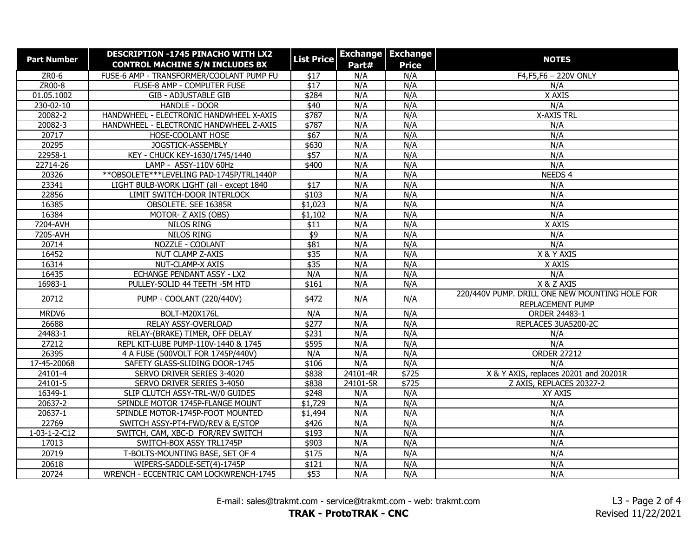| <b>Part Number</b>     | <b>DESCRIPTION -1745 PINACHO WITH LX2</b>   | <b>List Price</b> |              | <b>Exchange Exchange</b> | <b>NOTES</b>                                                       |
|------------------------|---------------------------------------------|-------------------|--------------|--------------------------|--------------------------------------------------------------------|
|                        | <b>CONTROL MACHINE S/N INCLUDES BX</b>      |                   | Part#        | <b>Price</b>             |                                                                    |
| ZR0-6                  | FUSE-6 AMP - TRANSFORMER/COOLANT PUMP FU    | \$17              | N/A          | N/A                      | F4, F5, F6 - 220V ONLY                                             |
| ZR00-8                 | FUSE-8 AMP - COMPUTER FUSE                  | $\overline{$17}$  | N/A          | N/A                      | N/A                                                                |
| 01.05.1002             | <b>GIB - ADJUSTABLE GIB</b>                 | \$284             | N/A          | N/A                      | X AXIS                                                             |
| $230 - 02 - 10$        | <b>HANDLE - DOOR</b>                        | \$40              | N/A          | N/A                      | N/A                                                                |
| 20082-2                | HANDWHEEL - ELECTRONIC HANDWHEEL X-AXIS     | \$787             | N/A          | N/A                      | <b>X-AXIS TRL</b>                                                  |
| 20082-3                | HANDWHEEL - ELECTRONIC HANDWHEEL Z-AXIS     | \$787             | N/A          | N/A                      | N/A                                                                |
| 20717                  | HOSE-COOLANT HOSE                           | \$67              | N/A          | N/A                      | N/A                                                                |
| 20295                  | JOGSTICK-ASSEMBLY                           | \$630             | N/A          | N/A                      | N/A                                                                |
| 22958-1                | KEY - CHUCK KEY-1630/1745/1440              | \$57              | N/A          | N/A                      | N/A                                                                |
| 22714-26               | LAMP - ASSY-110V 60Hz                       | \$400             | N/A          | N/A                      | N/A                                                                |
| 20326                  | ** OBSOLETE *** LEVELING PAD-1745P/TRL1440P |                   | N/A          | N/A                      | NEEDS <sub>4</sub>                                                 |
| 23341                  | LIGHT BULB-WORK LIGHT (all - except 1840    | $\sqrt{$17}$      | N/A          | N/A                      | N/A                                                                |
| 22856                  | LIMIT SWITCH-DOOR INTERLOCK                 | \$103             | N/A          | N/A                      | N/A                                                                |
| 16385                  | OBSOLETE. SEE 16385R                        | \$1,023           | N/A          | N/A                      | N/A                                                                |
| 16384                  | MOTOR- Z AXIS (OBS)                         | \$1,102           | N/A          | N/A                      | N/A                                                                |
| 7204-AVH               | <b>NILOS RING</b>                           | \$11              | N/A          | N/A                      | X AXIS                                                             |
| 7205-AVH               | NILOS RING                                  | \$9               | N/A          | N/A                      | N/A                                                                |
| 20714                  | NOZZLE - COOLANT                            | \$81              | N/A          | N/A                      | N/A                                                                |
| 16452                  | NUT CLAMP Z-AXIS                            | \$35              | N/A          | N/A                      | X & Y AXIS                                                         |
| 16314                  | NUT-CLAMP-X AXIS                            | \$35              | N/A          | N/A                      | X AXIS                                                             |
| 16435                  | ECHANGE PENDANT ASSY - LX2                  | N/A               | N/A          | N/A                      | N/A                                                                |
| 16983-1                | PULLEY-SOLID 44 TEETH - 5M HTD              | \$161             | N/A          | N/A                      | X & Z AXIS                                                         |
| 20712                  | PUMP - COOLANT (220/440V)                   | \$472             | N/A          | N/A                      | 220/440V PUMP. DRILL ONE NEW MOUNTING HOLE FOR<br>REPLACEMENT PUMP |
| MRDV6                  | BOLT-M20X176L                               | N/A               | N/A          | N/A                      | ORDER 24483-1                                                      |
| 26688                  | RELAY ASSY-OVERLOAD                         | \$277             | N/A          | N/A                      | REPLACES 3UA5200-2C                                                |
| 24483-1                | RELAY-(BRAKE) TIMER, OFF DELAY              | \$231             | N/A          | N/A                      | N/A                                                                |
| 27212                  | REPL KIT-LUBE PUMP-110V-1440 & 1745         | \$595             | N/A          | N/A                      | N/A                                                                |
| 26395                  | 4 A FUSE (500VOLT FOR 1745P/440V)           | N/A               | N/A          | N/A                      | <b>ORDER 27212</b>                                                 |
| 17-45-20068            | SAFETY GLASS-SLIDING DOOR-1745              | \$106             | N/A          | N/A                      | N/A                                                                |
| 24101-4                | SERVO DRIVER SERIES 3-4020                  | \$838             | $24101 - 4R$ | $\sqrt{$725}$            | X & Y AXIS, replaces 20201 and 20201R                              |
| 24101-5                | SERVO DRIVER SERIES 3-4050                  | \$838             | 24101-5R     | $\sqrt{$725}$            | Z AXIS, REPLACES 20327-2                                           |
| 16349-1                | SLIP CLUTCH ASSY-TRL-W/0 GUIDES             | \$248             | N/A          | N/A                      | XY AXIS                                                            |
| 20637-2                | SPINDLE MOTOR 1745P-FLANGE MOUNT            | \$1,729           | N/A          | N/A                      | N/A                                                                |
| 20637-1                | SPINDLE MOTOR-1745P-FOOT MOUNTED            | \$1,494           | N/A          | N/A                      | N/A                                                                |
| 22769                  | SWITCH ASSY-PT4-FWD/REV & E/STOP            | \$426             | N/A          | N/A                      | N/A                                                                |
| $1 - 03 - 1 - 2 - C12$ | SWITCH, CAM, XBC-D FOR/REV SWITCH           | \$193             | N/A          | N/A                      | N/A                                                                |
| 17013                  | SWITCH-BOX ASSY TRL1745P                    | \$903             | N/A          | N/A                      | N/A                                                                |
| 20719                  | T-BOLTS-MOUNTING BASE, SET OF 4             | \$175             | N/A          | N/A                      | N/A                                                                |
| 20618                  | WIPERS-SADDLE-SET(4)-1745P                  | \$121             | N/A          | N/A                      | N/A                                                                |
| 20724                  | WRENCH - ECCENTRIC CAM LOCKWRENCH-1745      | \$53              | N/A          | N/A                      | N/A                                                                |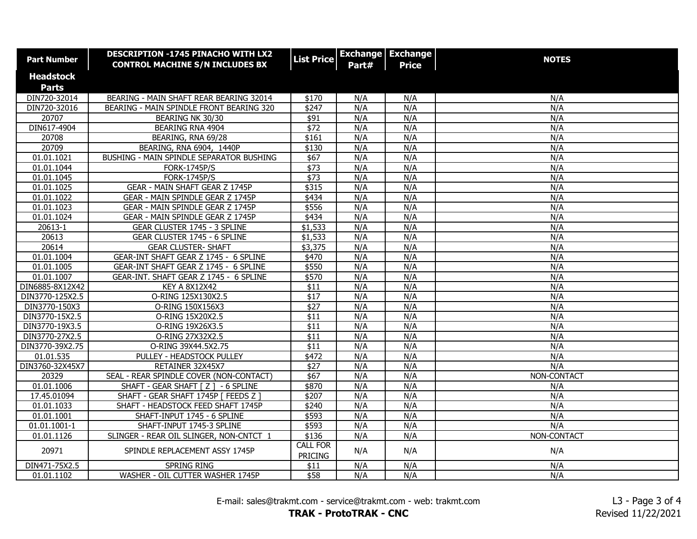| <b>Part Number</b> | <b>DESCRIPTION -1745 PINACHO WITH LX2</b><br><b>CONTROL MACHINE S/N INCLUDES BX</b> | <b>List Price</b>                 | Part# | <b>Exchange Exchange</b><br><b>Price</b> | <b>NOTES</b> |
|--------------------|-------------------------------------------------------------------------------------|-----------------------------------|-------|------------------------------------------|--------------|
| <b>Headstock</b>   |                                                                                     |                                   |       |                                          |              |
| <b>Parts</b>       |                                                                                     |                                   |       |                                          |              |
| DIN720-32014       | BEARING - MAIN SHAFT REAR BEARING 32014                                             | \$170                             | N/A   | N/A                                      | N/A          |
| DIN720-32016       | BEARING - MAIN SPINDLE FRONT BEARING 320                                            | \$247                             | N/A   | N/A                                      | N/A          |
| 20707              | BEARING NK 30/30                                                                    | \$91                              | N/A   | N/A                                      | N/A          |
| DIN617-4904        | BEARING RNA 4904                                                                    | \$72                              | N/A   | N/A                                      | N/A          |
| 20708              | BEARING, RNA 69/28                                                                  | \$161                             | N/A   | N/A                                      | N/A          |
| 20709              | BEARING, RNA 6904, 1440P                                                            | \$130                             | N/A   | N/A                                      | N/A          |
| 01.01.1021         | BUSHING - MAIN SPINDLE SEPARATOR BUSHING                                            | \$67                              | N/A   | N/A                                      | N/A          |
| 01.01.1044         | <b>FORK-1745P/S</b>                                                                 | $\sqrt{$73}$                      | N/A   | N/A                                      | N/A          |
| 01.01.1045         | <b>FORK-1745P/S</b>                                                                 | \$73                              | N/A   | N/A                                      | N/A          |
| 01.01.1025         | GEAR - MAIN SHAFT GEAR Z 1745P                                                      | $\sqrt{$315}$                     | N/A   | N/A                                      | N/A          |
| 01.01.1022         | GEAR - MAIN SPINDLE GEAR Z 1745P                                                    | \$434                             | N/A   | N/A                                      | N/A          |
| 01.01.1023         | GEAR - MAIN SPINDLE GEAR Z 1745P                                                    | \$556                             | N/A   | N/A                                      | N/A          |
| 01.01.1024         | GEAR - MAIN SPINDLE GEAR Z 1745P                                                    | \$434                             | N/A   | N/A                                      | N/A          |
| 20613-1            | GEAR CLUSTER 1745 - 3 SPLINE                                                        | \$1,533                           | N/A   | N/A                                      | N/A          |
| 20613              | GEAR CLUSTER 1745 - 6 SPLINE                                                        | \$1,533                           | N/A   | N/A                                      | N/A          |
| 20614              | <b>GEAR CLUSTER- SHAFT</b>                                                          | \$3,375                           | N/A   | N/A                                      | N/A          |
| 01.01.1004         | GEAR-INT SHAFT GEAR Z 1745 - 6 SPLINE                                               | \$470                             | N/A   | N/A                                      | N/A          |
| 01.01.1005         | GEAR-INT SHAFT GEAR Z 1745 - 6 SPLINE                                               | \$550                             | N/A   | N/A                                      | N/A          |
| 01.01.1007         | GEAR-INT. SHAFT GEAR Z 1745 - 6 SPLINE                                              | \$570                             | N/A   | N/A                                      | N/A          |
| DIN6885-8X12X42    | <b>KEY A 8X12X42</b>                                                                | \$11                              | N/A   | N/A                                      | N/A          |
| DIN3770-125X2.5    | O-RING 125X130X2.5                                                                  | \$17                              | N/A   | N/A                                      | N/A          |
| DIN3770-150X3      | O-RING 150X156X3                                                                    | \$27                              | N/A   | N/A                                      | N/A          |
| DIN3770-15X2.5     | O-RING 15X20X2.5                                                                    | \$11                              | N/A   | N/A                                      | N/A          |
| DIN3770-19X3.5     | O-RING 19X26X3.5                                                                    | \$11                              | N/A   | N/A                                      | N/A          |
| DIN3770-27X2.5     | O-RING 27X32X2.5                                                                    | $\overline{$11}$                  | N/A   | N/A                                      | N/A          |
| DIN3770-39X2.75    | O-RING 39X44.5X2.75                                                                 | $\overline{$11}$                  | N/A   | N/A                                      | N/A          |
| 01.01.535          | PULLEY - HEADSTOCK PULLEY                                                           | \$472                             | N/A   | N/A                                      | N/A          |
| DIN3760-32X45X7    | RETAINER 32X45X7                                                                    | \$27                              | N/A   | N/A                                      | N/A          |
| 20329              | SEAL - REAR SPINDLE COVER (NON-CONTACT)                                             | \$67                              | N/A   | N/A                                      | NON-CONTACT  |
| 01.01.1006         | SHAFT - GEAR SHAFT [ Z ] - 6 SPLINE                                                 | \$870                             | N/A   | N/A                                      | N/A          |
| 17.45.01094        | SHAFT - GEAR SHAFT 1745P   FEEDS Z                                                  | \$207                             | N/A   | N/A                                      | N/A          |
| 01.01.1033         | SHAFT - HEADSTOCK FEED SHAFT 1745P                                                  | \$240                             | N/A   | N/A                                      | N/A          |
| 01.01.1001         | SHAFT-INPUT 1745 - 6 SPLINE                                                         | \$593                             | N/A   | N/A                                      | N/A          |
| 01.01.1001-1       | SHAFT-INPUT 1745-3 SPLINE                                                           | \$593                             | N/A   | N/A                                      | N/A          |
| 01.01.1126         | SLINGER - REAR OIL SLINGER, NON-CNTCT 1                                             | \$136                             | N/A   | N/A                                      | NON-CONTACT  |
| 20971              | SPINDLE REPLACEMENT ASSY 1745P                                                      | <b>CALL FOR</b><br><b>PRICING</b> | N/A   | N/A                                      | N/A          |
| DIN471-75X2.5      | <b>SPRING RING</b>                                                                  | \$11                              | N/A   | N/A                                      | N/A          |
| 01.01.1102         | WASHER - OIL CUTTER WASHER 1745P                                                    | \$58                              | N/A   | N/A                                      | N/A          |